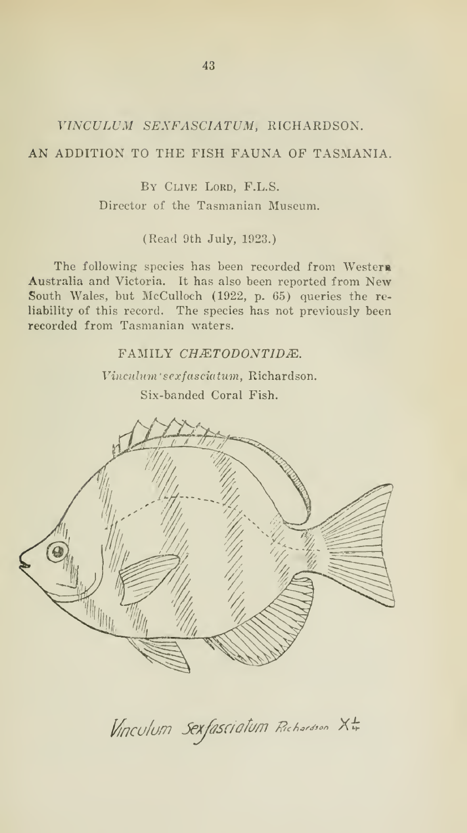## VINCULUM SEXFASCIATUM, RICHARDSON.

## AN ADDITION TO THE FISH FAUNA OF TASMANIA.

By Clive Lord, F.L.S.

Director of the Tasmanian Museum.

(Read 9th July, 1923.)

The following: species has been recorded from Westera Australia and Victoria. It has also been reported from New South Wales, but McCulloch (1922, p. 65) queries the reliability of this record. The species has not previously been recorded from Tasmanian waters.

FAMILY CHÆTODONTIDÆ.

Vinculum' sexfasciatum. Richardson.

Six-banded Coral Fish.



Vinculum Sexfasciatum Richardson XI;